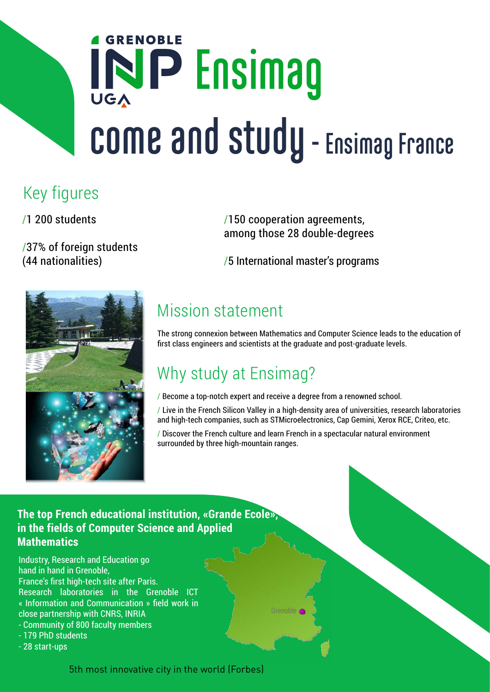# **GRENOBLE** IND Ensimag **come and study - Ensimag France**

## Key figures

/1 200 students

/37% of foreign students (44 nationalities)

/150 cooperation agreements, among those 28 double-degrees

/5 International master's programs



## Mission statement

The strong connexion between Mathematics and Computer Science leads to the education of first class engineers and scientists at the graduate and post-graduate levels.

## Why study at Ensimag?

/ Become a top-notch expert and receive a degree from a renowned school.

/ Live in the French Silicon Valley in a high-density area of universities, research laboratories and high-tech companies, such as STMicroelectronics, Cap Gemini, Xerox RCE, Criteo, etc.

/ Discover the French culture and learn French in a spectacular natural environment surrounded by three high-mountain ranges.

Grenoble

#### **The top French educational institution, «Grande Ecole», in the fields of Computer Science and Applied Mathematics**

Industry, Research and Education go hand in hand in Grenoble, France's first high-tech site after Paris. Research laboratories in the Grenoble ICT « Information and Communication » field work in close partnership with CNRS, INRIA

- Community of 800 faculty members
- 179 PhD students
- 28 start-ups

5th most innovative city in the world (Forbes)